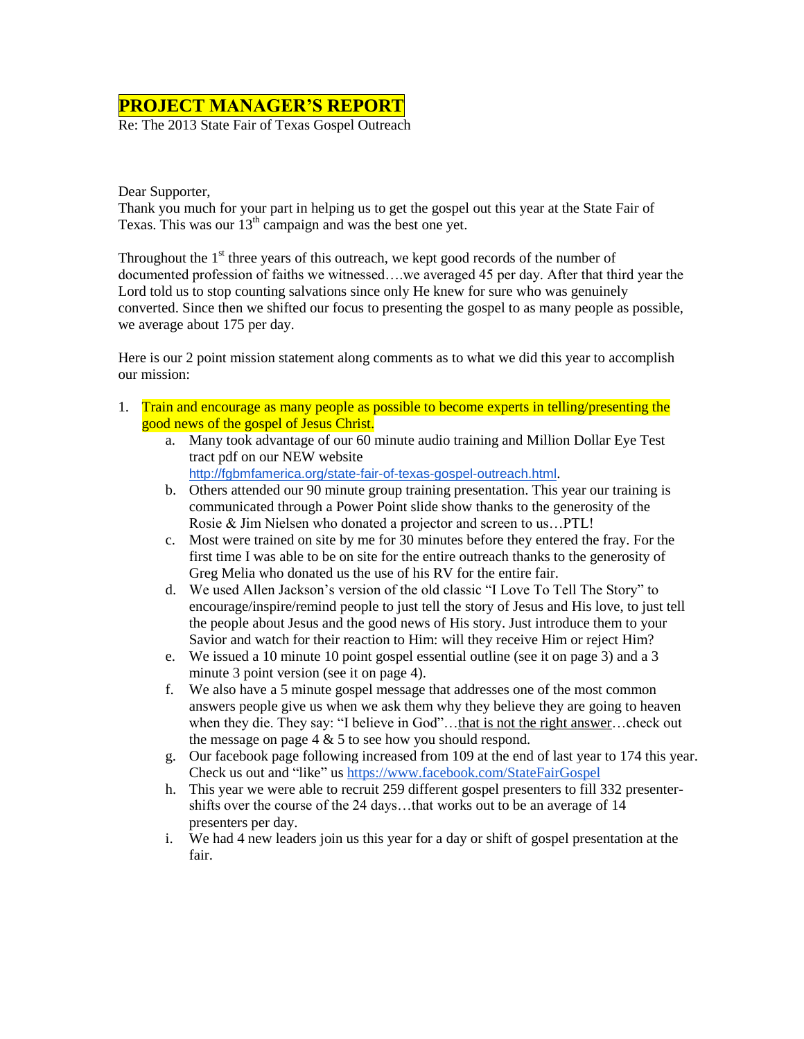## **PROJECT MANAGER'S REPORT**

Re: The 2013 State Fair of Texas Gospel Outreach

Dear Supporter,

Thank you much for your part in helping us to get the gospel out this year at the State Fair of Texas. This was our  $13<sup>th</sup>$  campaign and was the best one yet.

Throughout the  $1<sup>st</sup>$  three years of this outreach, we kept good records of the number of documented profession of faiths we witnessed….we averaged 45 per day. After that third year the Lord told us to stop counting salvations since only He knew for sure who was genuinely converted. Since then we shifted our focus to presenting the gospel to as many people as possible, we average about 175 per day.

Here is our 2 point mission statement along comments as to what we did this year to accomplish our mission:

- 1. Train and encourage as many people as possible to become experts in telling/presenting the good news of the gospel of Jesus Christ.
	- a. Many took advantage of our 60 minute audio training and Million Dollar Eye Test tract pdf on our NEW website
		- <http://fgbmfamerica.org/state-fair-of-texas-gospel-outreach.html>.
	- b. Others attended our 90 minute group training presentation. This year our training is communicated through a Power Point slide show thanks to the generosity of the Rosie & Jim Nielsen who donated a projector and screen to us…PTL!
	- c. Most were trained on site by me for 30 minutes before they entered the fray. For the first time I was able to be on site for the entire outreach thanks to the generosity of Greg Melia who donated us the use of his RV for the entire fair.
	- d. We used Allen Jackson's version of the old classic "I Love To Tell The Story" to encourage/inspire/remind people to just tell the story of Jesus and His love, to just tell the people about Jesus and the good news of His story. Just introduce them to your Savior and watch for their reaction to Him: will they receive Him or reject Him?
	- e. We issued a 10 minute 10 point gospel essential outline (see it on page 3) and a 3 minute 3 point version (see it on page 4).
	- f. We also have a 5 minute gospel message that addresses one of the most common answers people give us when we ask them why they believe they are going to heaven when they die. They say: "I believe in God"...that is not the right answer...check out the message on page  $4 \& 5$  to see how you should respond.
	- g. Our facebook page following increased from 109 at the end of last year to 174 this year. Check us out and "like" us<https://www.facebook.com/StateFairGospel>
	- h. This year we were able to recruit 259 different gospel presenters to fill 332 presentershifts over the course of the 24 days…that works out to be an average of 14 presenters per day.
	- i. We had 4 new leaders join us this year for a day or shift of gospel presentation at the fair.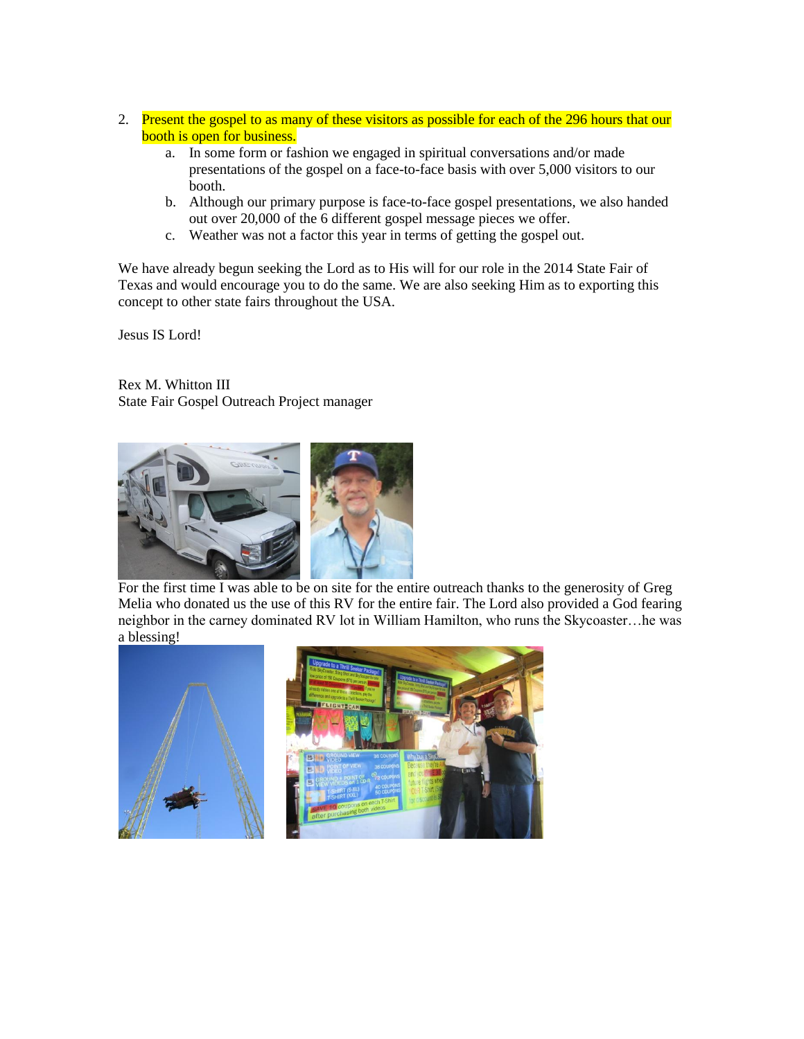- 2. Present the gospel to as many of these visitors as possible for each of the 296 hours that our booth is open for business.
	- a. In some form or fashion we engaged in spiritual conversations and/or made presentations of the gospel on a face-to-face basis with over 5,000 visitors to our booth.
	- b. Although our primary purpose is face-to-face gospel presentations, we also handed out over 20,000 of the 6 different gospel message pieces we offer.
	- c. Weather was not a factor this year in terms of getting the gospel out.

We have already begun seeking the Lord as to His will for our role in the 2014 State Fair of Texas and would encourage you to do the same. We are also seeking Him as to exporting this concept to other state fairs throughout the USA.

Jesus IS Lord!

Rex M. Whitton III State Fair Gospel Outreach Project manager



For the first time I was able to be on site for the entire outreach thanks to the generosity of Greg Melia who donated us the use of this RV for the entire fair. The Lord also provided a God fearing neighbor in the carney dominated RV lot in William Hamilton, who runs the Skycoaster…he was a blessing!

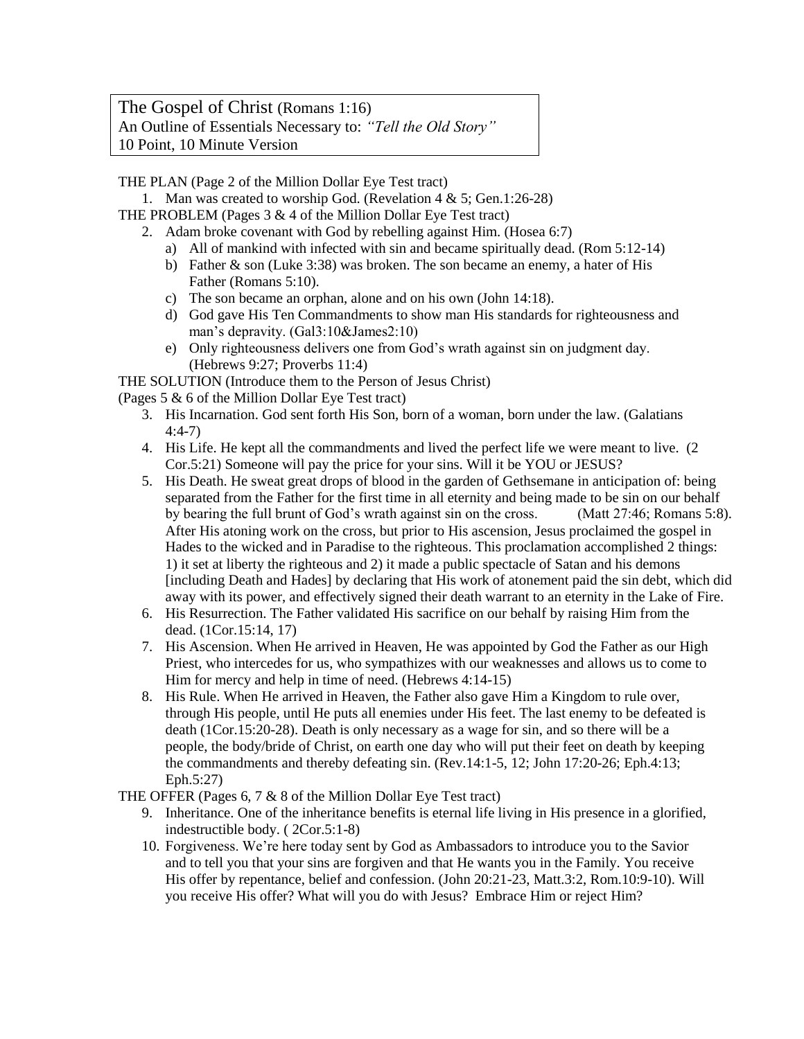The Gospel of Christ (Romans 1:16) An Outline of Essentials Necessary to: *"Tell the Old Story"* 10 Point, 10 Minute Version

THE PLAN (Page 2 of the Million Dollar Eye Test tract)

1. Man was created to worship God. (Revelation 4 & 5; Gen.1:26-28)

THE PROBLEM (Pages  $3 \& 4$  of the Million Dollar Eye Test tract)

- 2. Adam broke covenant with God by rebelling against Him. (Hosea 6:7)
	- a) All of mankind with infected with sin and became spiritually dead. (Rom 5:12-14)
	- b) Father & son (Luke 3:38) was broken. The son became an enemy, a hater of His Father (Romans 5:10).
	- c) The son became an orphan, alone and on his own (John 14:18).
	- d) God gave His Ten Commandments to show man His standards for righteousness and man's depravity. (Gal3:10&James2:10)
	- e) Only righteousness delivers one from God's wrath against sin on judgment day. (Hebrews 9:27; Proverbs 11:4)

THE SOLUTION (Introduce them to the Person of Jesus Christ)

(Pages 5 & 6 of the Million Dollar Eye Test tract)

- 3. His Incarnation. God sent forth His Son, born of a woman, born under the law. (Galatians 4:4-7)
- 4. His Life. He kept all the commandments and lived the perfect life we were meant to live. (2 Cor.5:21) Someone will pay the price for your sins. Will it be YOU or JESUS?
- 5. His Death. He sweat great drops of blood in the garden of Gethsemane in anticipation of: being separated from the Father for the first time in all eternity and being made to be sin on our behalf by bearing the full brunt of God's wrath against sin on the cross. (Matt 27:46; Romans 5:8). After His atoning work on the cross, but prior to His ascension, Jesus proclaimed the gospel in Hades to the wicked and in Paradise to the righteous. This proclamation accomplished 2 things: 1) it set at liberty the righteous and 2) it made a public spectacle of Satan and his demons [including Death and Hades] by declaring that His work of atonement paid the sin debt, which did away with its power, and effectively signed their death warrant to an eternity in the Lake of Fire.
- 6. His Resurrection. The Father validated His sacrifice on our behalf by raising Him from the dead. (1Cor.15:14, 17)
- 7. His Ascension. When He arrived in Heaven, He was appointed by God the Father as our High Priest, who intercedes for us, who sympathizes with our weaknesses and allows us to come to Him for mercy and help in time of need. (Hebrews 4:14-15)
- 8. His Rule. When He arrived in Heaven, the Father also gave Him a Kingdom to rule over, through His people, until He puts all enemies under His feet. The last enemy to be defeated is death (1Cor.15:20-28). Death is only necessary as a wage for sin, and so there will be a people, the body/bride of Christ, on earth one day who will put their feet on death by keeping the commandments and thereby defeating sin. (Rev.14:1-5, 12; John 17:20-26; Eph.4:13; Eph.5:27)
- THE OFFER (Pages 6, 7 & 8 of the Million Dollar Eye Test tract)
	- 9. Inheritance. One of the inheritance benefits is eternal life living in His presence in a glorified, indestructible body. ( 2Cor.5:1-8)
	- 10. Forgiveness. We're here today sent by God as Ambassadors to introduce you to the Savior and to tell you that your sins are forgiven and that He wants you in the Family. You receive His offer by repentance, belief and confession. (John 20:21-23, Matt.3:2, Rom.10:9-10). Will you receive His offer? What will you do with Jesus? Embrace Him or reject Him?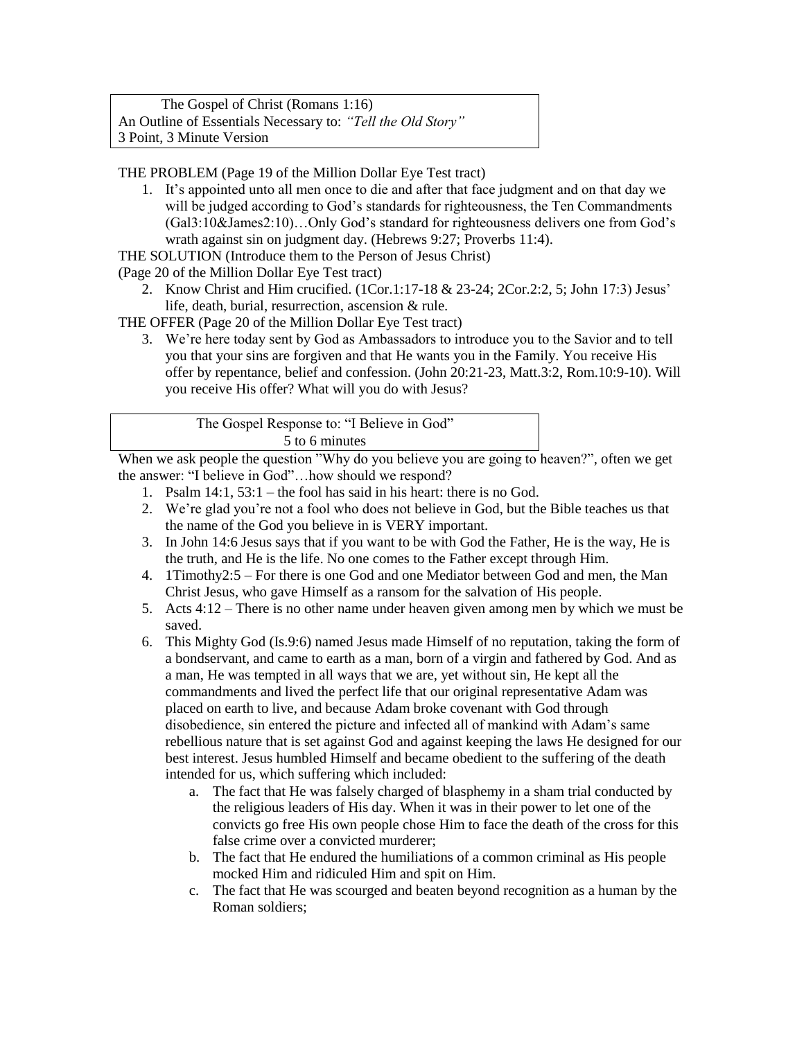The Gospel of Christ (Romans 1:16) An Outline of Essentials Necessary to: *"Tell the Old Story"*  3 Point, 3 Minute Version

THE PROBLEM (Page 19 of the Million Dollar Eye Test tract)

1. It's appointed unto all men once to die and after that face judgment and on that day we will be judged according to God's standards for righteousness, the Ten Commandments (Gal3:10&James2:10)…Only God's standard for righteousness delivers one from God's wrath against sin on judgment day. (Hebrews 9:27; Proverbs 11:4).

THE SOLUTION (Introduce them to the Person of Jesus Christ)

(Page 20 of the Million Dollar Eye Test tract)

2. Know Christ and Him crucified. (1Cor.1:17-18 & 23-24; 2Cor.2:2, 5; John 17:3) Jesus' life, death, burial, resurrection, ascension & rule.

THE OFFER (Page 20 of the Million Dollar Eye Test tract)

3. We're here today sent by God as Ambassadors to introduce you to the Savior and to tell you that your sins are forgiven and that He wants you in the Family. You receive His offer by repentance, belief and confession. (John 20:21-23, Matt.3:2, Rom.10:9-10). Will you receive His offer? What will you do with Jesus?

| The Gospel Response to: "I Believe in God" |
|--------------------------------------------|
| 5 to 6 minutes                             |

When we ask people the question "Why do you believe you are going to heaven?", often we get the answer: "I believe in God"…how should we respond?

- 1. Psalm 14:1, 53:1 the fool has said in his heart: there is no God.
- 2. We're glad you're not a fool who does not believe in God, but the Bible teaches us that the name of the God you believe in is VERY important.
- 3. In John 14:6 Jesus says that if you want to be with God the Father, He is the way, He is the truth, and He is the life. No one comes to the Father except through Him.
- 4. 1Timothy2:5 For there is one God and one Mediator between God and men, the Man Christ Jesus, who gave Himself as a ransom for the salvation of His people.
- 5. Acts 4:12 There is no other name under heaven given among men by which we must be saved.
- 6. This Mighty God (Is.9:6) named Jesus made Himself of no reputation, taking the form of a bondservant, and came to earth as a man, born of a virgin and fathered by God. And as a man, He was tempted in all ways that we are, yet without sin, He kept all the commandments and lived the perfect life that our original representative Adam was placed on earth to live, and because Adam broke covenant with God through disobedience, sin entered the picture and infected all of mankind with Adam's same rebellious nature that is set against God and against keeping the laws He designed for our best interest. Jesus humbled Himself and became obedient to the suffering of the death intended for us, which suffering which included:
	- a. The fact that He was falsely charged of blasphemy in a sham trial conducted by the religious leaders of His day. When it was in their power to let one of the convicts go free His own people chose Him to face the death of the cross for this false crime over a convicted murderer;
	- b. The fact that He endured the humiliations of a common criminal as His people mocked Him and ridiculed Him and spit on Him.
	- c. The fact that He was scourged and beaten beyond recognition as a human by the Roman soldiers;